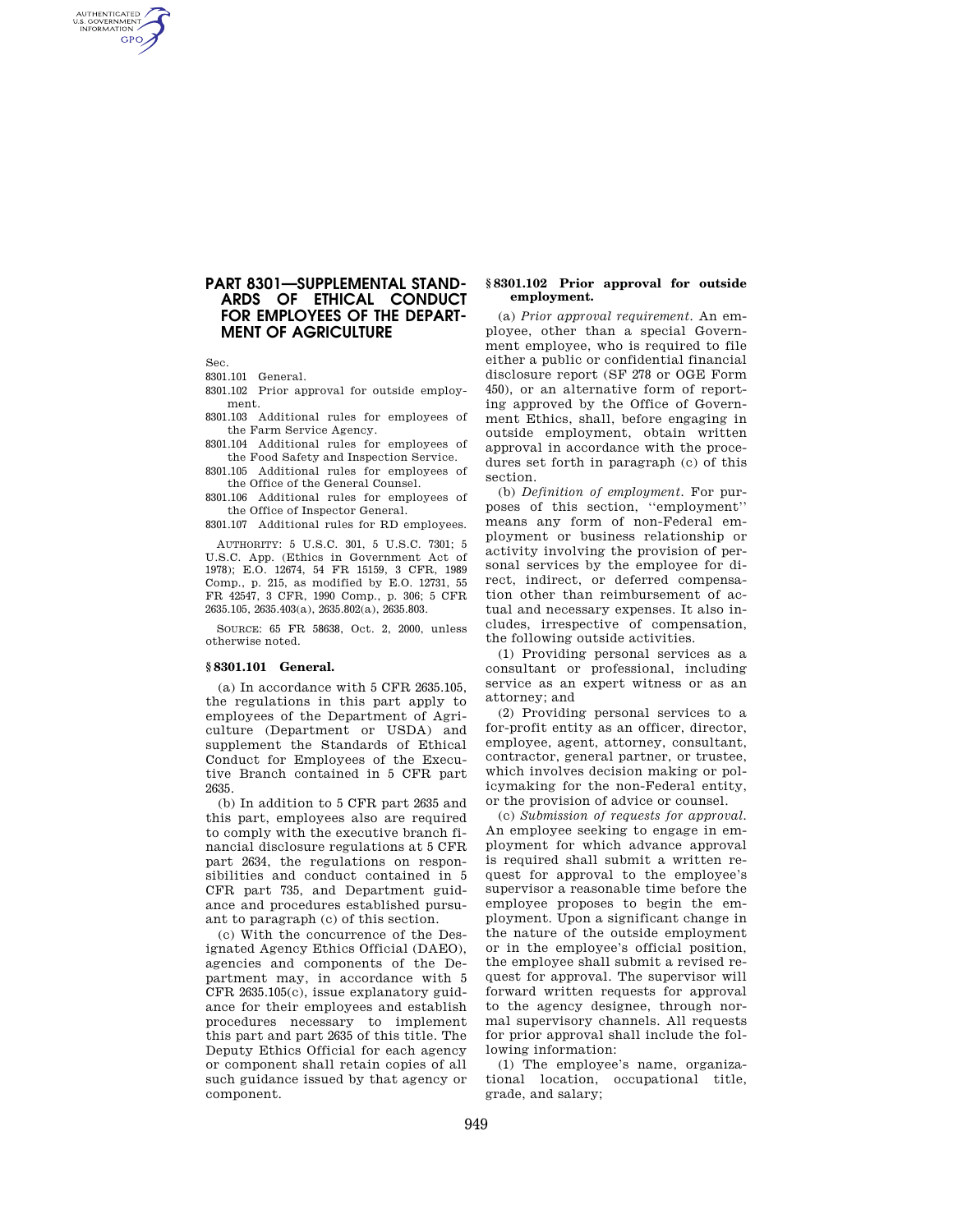# **PART 8301—SUPPLEMENTAL STAND-ARDS OF ETHICAL CONDUCT FOR EMPLOYEES OF THE DEPART-MENT OF AGRICULTURE**

Sec.

AUTHENTICATED<br>U.S. GOVERNMENT<br>INFORMATION **GPO** 

8301.101 General.

8301.102 Prior approval for outside employment.

8301.103 Additional rules for employees of the Farm Service Agency.

8301.104 Additional rules for employees of the Food Safety and Inspection Service.

8301.105 Additional rules for employees of the Office of the General Counsel.

8301.106 Additional rules for employees of the Office of Inspector General.

8301.107 Additional rules for RD employees.

AUTHORITY: 5 U.S.C. 301, 5 U.S.C. 7301; 5 U.S.C. App. (Ethics in Government Act of 1978); E.O. 12674, 54 FR 15159, 3 CFR, 1989 Comp., p. 215, as modified by E.O. 12731, 55 FR 42547, 3 CFR, 1990 Comp., p. 306; 5 CFR 2635.105, 2635.403(a), 2635.802(a), 2635.803.

SOURCE: 65 FR 58638, Oct. 2, 2000, unless otherwise noted.

# **§ 8301.101 General.**

(a) In accordance with 5 CFR 2635.105, the regulations in this part apply to employees of the Department of Agriculture (Department or USDA) and supplement the Standards of Ethical Conduct for Employees of the Executive Branch contained in 5 CFR part 2635.

(b) In addition to 5 CFR part 2635 and this part, employees also are required to comply with the executive branch financial disclosure regulations at 5 CFR part 2634, the regulations on responsibilities and conduct contained in 5 CFR part 735, and Department guidance and procedures established pursuant to paragraph (c) of this section.

(c) With the concurrence of the Designated Agency Ethics Official (DAEO), agencies and components of the Department may, in accordance with 5 CFR 2635.105(c), issue explanatory guidance for their employees and establish procedures necessary to implement this part and part 2635 of this title. The Deputy Ethics Official for each agency or component shall retain copies of all such guidance issued by that agency or component.

### **§ 8301.102 Prior approval for outside employment.**

(a) *Prior approval requirement.* An employee, other than a special Government employee, who is required to file either a public or confidential financial disclosure report (SF 278 or OGE Form 450), or an alternative form of reporting approved by the Office of Government Ethics, shall, before engaging in outside employment, obtain written approval in accordance with the procedures set forth in paragraph (c) of this section.

(b) *Definition of employment.* For purposes of this section, ''employment'' means any form of non-Federal employment or business relationship or activity involving the provision of personal services by the employee for direct, indirect, or deferred compensation other than reimbursement of actual and necessary expenses. It also includes, irrespective of compensation, the following outside activities.

(1) Providing personal services as a consultant or professional, including service as an expert witness or as an attorney; and

(2) Providing personal services to a for-profit entity as an officer, director, employee, agent, attorney, consultant, contractor, general partner, or trustee, which involves decision making or policymaking for the non-Federal entity, or the provision of advice or counsel.

(c) *Submission of requests for approval.*  An employee seeking to engage in employment for which advance approval is required shall submit a written request for approval to the employee's supervisor a reasonable time before the employee proposes to begin the employment. Upon a significant change in the nature of the outside employment or in the employee's official position, the employee shall submit a revised request for approval. The supervisor will forward written requests for approval to the agency designee, through normal supervisory channels. All requests for prior approval shall include the following information:

(1) The employee's name, organizational location, occupational title, grade, and salary;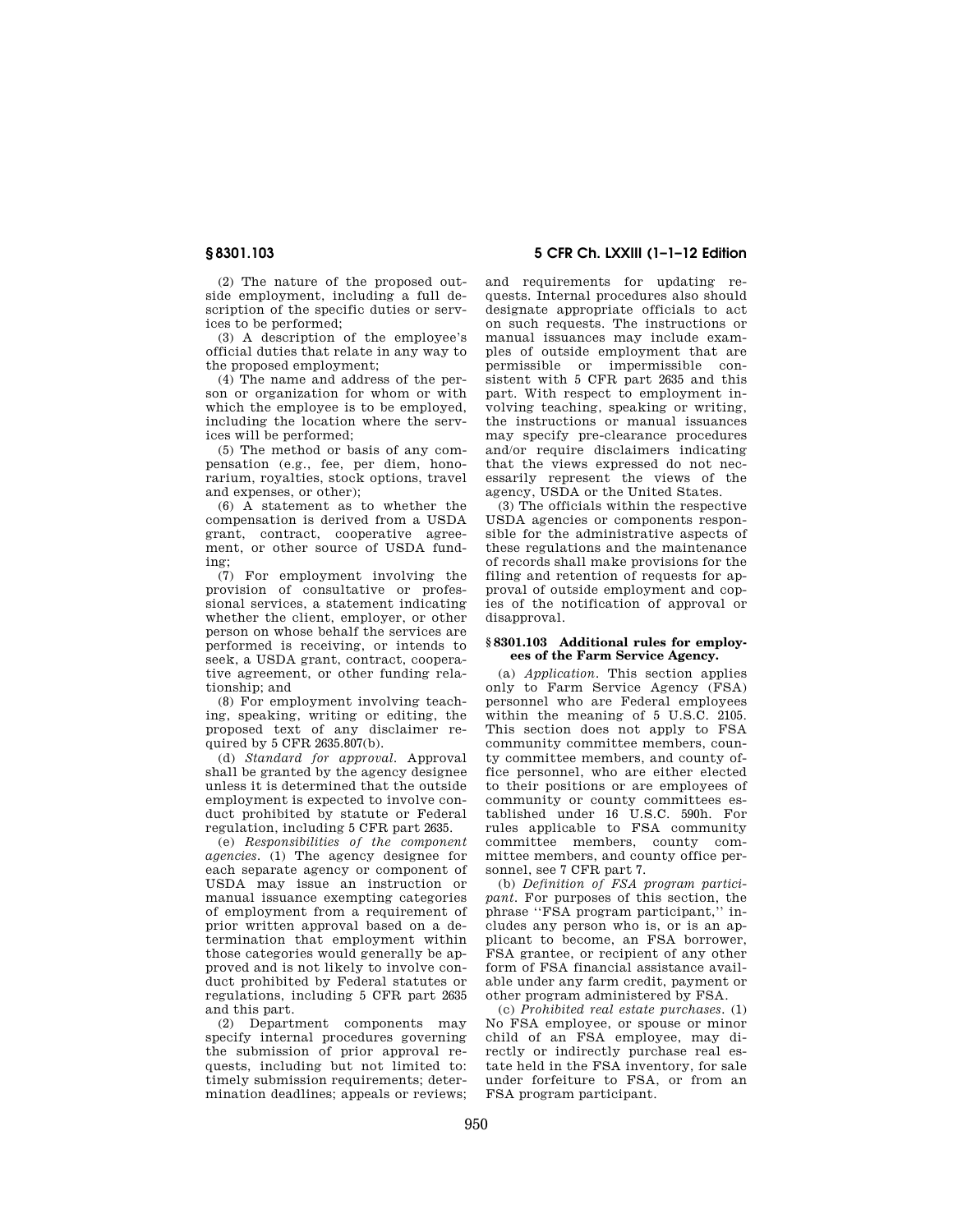(2) The nature of the proposed outside employment, including a full description of the specific duties or services to be performed;

(3) A description of the employee's official duties that relate in any way to the proposed employment;

(4) The name and address of the person or organization for whom or with which the employee is to be employed, including the location where the services will be performed;

(5) The method or basis of any compensation (e.g., fee, per diem, honorarium, royalties, stock options, travel and expenses, or other);

(6) A statement as to whether the compensation is derived from a USDA grant, contract, cooperative agreement, or other source of USDA funding;

(7) For employment involving the provision of consultative or professional services, a statement indicating whether the client, employer, or other person on whose behalf the services are performed is receiving, or intends to seek, a USDA grant, contract, cooperative agreement, or other funding relationship; and

(8) For employment involving teaching, speaking, writing or editing, the proposed text of any disclaimer required by  $5$  CFR  $2635.807(b)$ .

(d) *Standard for approval.* Approval shall be granted by the agency designee unless it is determined that the outside employment is expected to involve conduct prohibited by statute or Federal regulation, including 5 CFR part 2635.

(e) *Responsibilities of the component agencies.* (1) The agency designee for each separate agency or component of USDA may issue an instruction or manual issuance exempting categories of employment from a requirement of prior written approval based on a determination that employment within those categories would generally be approved and is not likely to involve conduct prohibited by Federal statutes or regulations, including 5 CFR part 2635 and this part.

(2) Department components may specify internal procedures governing the submission of prior approval requests, including but not limited to: timely submission requirements; determination deadlines; appeals or reviews;

**§ 8301.103 5 CFR Ch. LXXIII (1–1–12 Edition** 

and requirements for updating requests. Internal procedures also should designate appropriate officials to act on such requests. The instructions or manual issuances may include examples of outside employment that are permissible or impermissible consistent with 5 CFR part 2635 and this part. With respect to employment involving teaching, speaking or writing, the instructions or manual issuances may specify pre-clearance procedures and/or require disclaimers indicating that the views expressed do not necessarily represent the views of the agency, USDA or the United States.

(3) The officials within the respective USDA agencies or components responsible for the administrative aspects of these regulations and the maintenance of records shall make provisions for the filing and retention of requests for approval of outside employment and copies of the notification of approval or disapproval.

#### **§ 8301.103 Additional rules for employees of the Farm Service Agency.**

(a) *Application.* This section applies only to Farm Service Agency (FSA) personnel who are Federal employees within the meaning of 5 U.S.C. 2105. This section does not apply to FSA community committee members, county committee members, and county office personnel, who are either elected to their positions or are employees of community or county committees established under 16 U.S.C. 590h. For rules applicable to FSA community committee members, county committee members, and county office personnel, see 7 CFR part 7.

(b) *Definition of FSA program participant.* For purposes of this section, the phrase ''FSA program participant,'' includes any person who is, or is an applicant to become, an FSA borrower, FSA grantee, or recipient of any other form of FSA financial assistance available under any farm credit, payment or other program administered by FSA.

(c) *Prohibited real estate purchases.* (1) No FSA employee, or spouse or minor child of an FSA employee, may directly or indirectly purchase real estate held in the FSA inventory, for sale under forfeiture to FSA, or from an FSA program participant.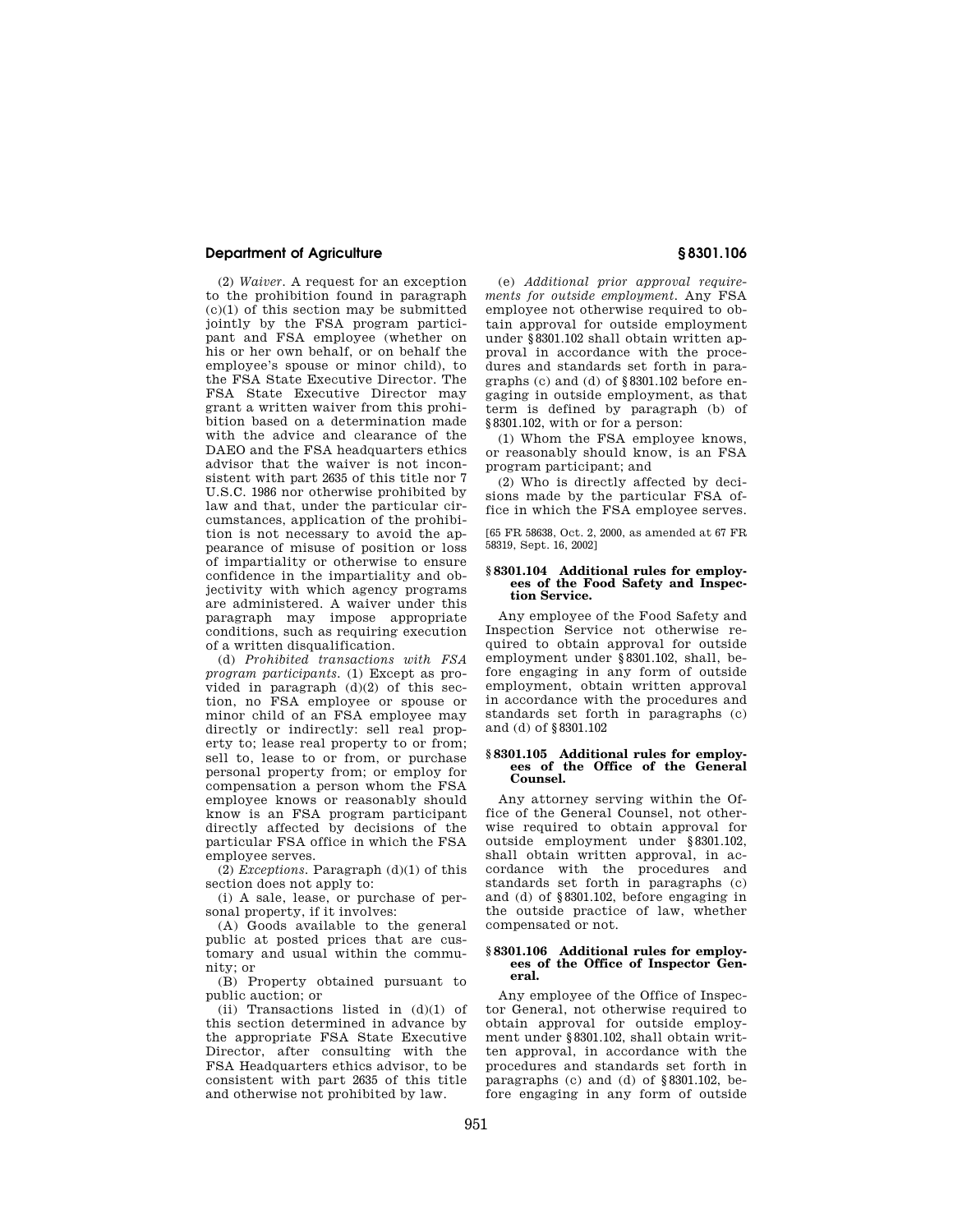## **Department of Agriculture § 8301.106**

(2) *Waiver.* A request for an exception to the prohibition found in paragraph  $(c)(1)$  of this section may be submitted jointly by the FSA program participant and FSA employee (whether on his or her own behalf, or on behalf the employee's spouse or minor child), to the FSA State Executive Director. The FSA State Executive Director may grant a written waiver from this prohibition based on a determination made with the advice and clearance of the DAEO and the FSA headquarters ethics advisor that the waiver is not inconsistent with part 2635 of this title nor 7 U.S.C. 1986 nor otherwise prohibited by law and that, under the particular circumstances, application of the prohibition is not necessary to avoid the appearance of misuse of position or loss of impartiality or otherwise to ensure confidence in the impartiality and objectivity with which agency programs are administered. A waiver under this paragraph may impose appropriate conditions, such as requiring execution of a written disqualification.

(d) *Prohibited transactions with FSA program participants.* (1) Except as provided in paragraph  $(d)(2)$  of this section, no FSA employee or spouse or minor child of an FSA employee may directly or indirectly: sell real property to; lease real property to or from; sell to, lease to or from, or purchase personal property from; or employ for compensation a person whom the FSA employee knows or reasonably should know is an FSA program participant directly affected by decisions of the particular FSA office in which the FSA employee serves.

(2) *Exceptions.* Paragraph (d)(1) of this section does not apply to:

(i) A sale, lease, or purchase of personal property, if it involves:

(A) Goods available to the general public at posted prices that are customary and usual within the community; or

(B) Property obtained pursuant to public auction; or

(ii) Transactions listed in  $(d)(1)$  of this section determined in advance by the appropriate FSA State Executive Director, after consulting with the FSA Headquarters ethics advisor, to be consistent with part 2635 of this title and otherwise not prohibited by law.

(e) *Additional prior approval requirements for outside employment.* Any FSA employee not otherwise required to obtain approval for outside employment under §8301.102 shall obtain written approval in accordance with the procedures and standards set forth in paragraphs (c) and (d) of §8301.102 before engaging in outside employment, as that term is defined by paragraph (b) of §8301.102, with or for a person:

(1) Whom the FSA employee knows, or reasonably should know, is an FSA program participant; and

(2) Who is directly affected by decisions made by the particular FSA office in which the FSA employee serves.

[65 FR 58638, Oct. 2, 2000, as amended at 67 FR 58319, Sept. 16, 2002]

### **§ 8301.104 Additional rules for employees of the Food Safety and Inspection Service.**

Any employee of the Food Safety and Inspection Service not otherwise required to obtain approval for outside employment under §8301.102, shall, before engaging in any form of outside employment, obtain written approval in accordance with the procedures and standards set forth in paragraphs (c) and (d) of §8301.102

### **§ 8301.105 Additional rules for employees of the Office of the General Counsel.**

Any attorney serving within the Office of the General Counsel, not otherwise required to obtain approval for outside employment under §8301.102, shall obtain written approval, in accordance with the procedures and standards set forth in paragraphs (c) and (d) of §8301.102, before engaging in the outside practice of law, whether compensated or not.

#### **§ 8301.106 Additional rules for employees of the Office of Inspector General.**

Any employee of the Office of Inspector General, not otherwise required to obtain approval for outside employment under §8301.102, shall obtain written approval, in accordance with the procedures and standards set forth in paragraphs (c) and (d) of §8301.102, before engaging in any form of outside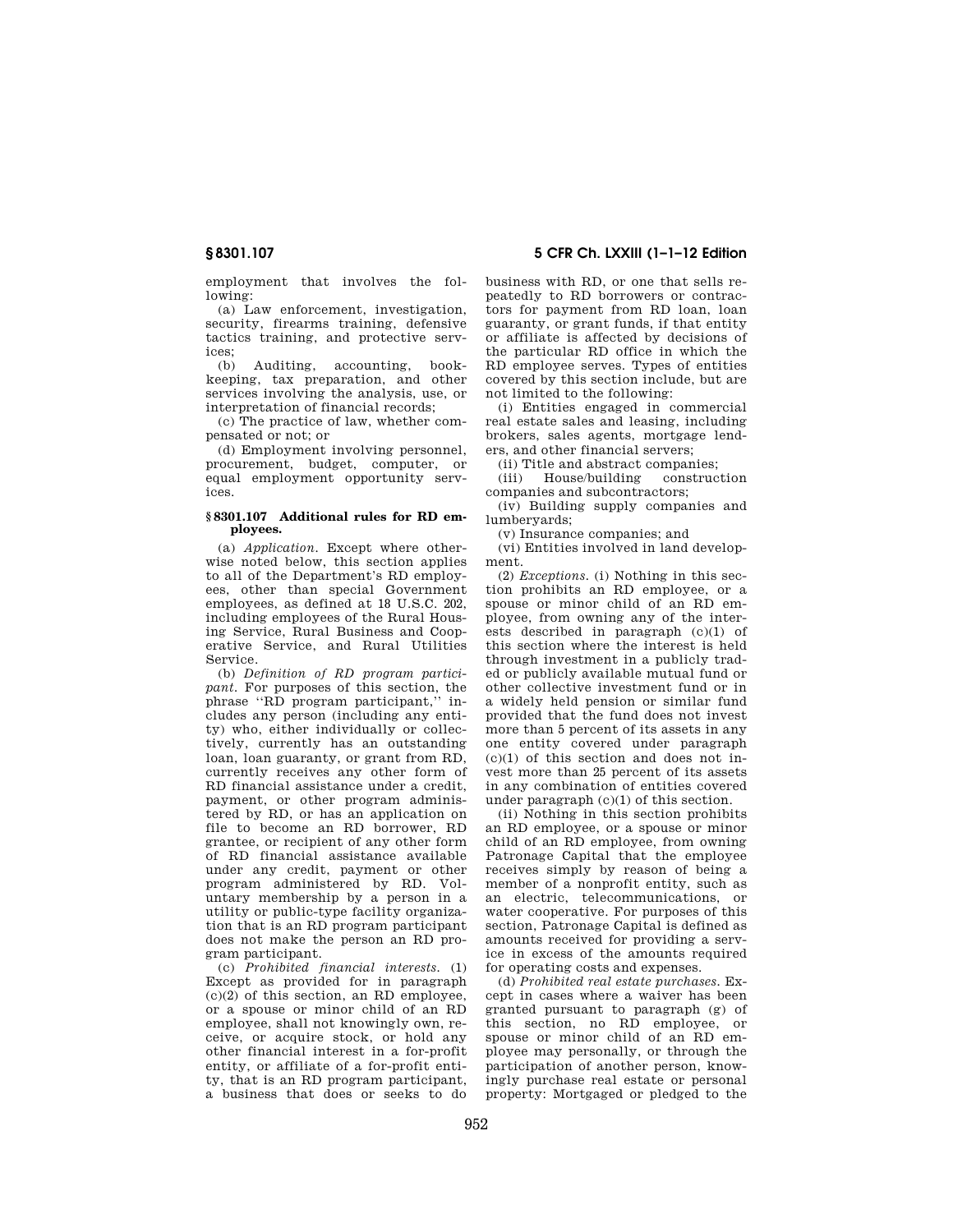employment that involves the following:

(a) Law enforcement, investigation, security, firearms training, defensive tactics training, and protective services;<br> $\frac{1}{(h)}$ 

Auditing, accounting, bookkeeping, tax preparation, and other services involving the analysis, use, or interpretation of financial records;

(c) The practice of law, whether compensated or not; or

(d) Employment involving personnel, procurement, budget, computer, or equal employment opportunity services.

#### **§ 8301.107 Additional rules for RD employees.**

(a) *Application.* Except where otherwise noted below, this section applies to all of the Department's RD employees, other than special Government employees, as defined at 18 U.S.C. 202, including employees of the Rural Housing Service, Rural Business and Cooperative Service, and Rural Utilities Service.

(b) *Definition of RD program participant.* For purposes of this section, the phrase ''RD program participant,'' includes any person (including any entity) who, either individually or collectively, currently has an outstanding loan, loan guaranty, or grant from RD, currently receives any other form of RD financial assistance under a credit, payment, or other program administered by RD, or has an application on file to become an RD borrower, RD grantee, or recipient of any other form of RD financial assistance available under any credit, payment or other program administered by RD. Voluntary membership by a person in a utility or public-type facility organization that is an RD program participant does not make the person an RD program participant.

(c) *Prohibited financial interests.* (1) Except as provided for in paragraph  $(c)(2)$  of this section, an RD employee, or a spouse or minor child of an RD employee, shall not knowingly own, receive, or acquire stock, or hold any other financial interest in a for-profit entity, or affiliate of a for-profit entity, that is an RD program participant, a business that does or seeks to do business with RD, or one that sells repeatedly to RD borrowers or contractors for payment from RD loan, loan guaranty, or grant funds, if that entity or affiliate is affected by decisions of the particular RD office in which the RD employee serves. Types of entities covered by this section include, but are not limited to the following:

(i) Entities engaged in commercial real estate sales and leasing, including brokers, sales agents, mortgage lenders, and other financial servers;

(ii) Title and abstract companies;

(iii) House/building construction companies and subcontractors;

(iv) Building supply companies and lumberyards;

(v) Insurance companies; and

(vi) Entities involved in land development.

(2) *Exceptions.* (i) Nothing in this section prohibits an RD employee, or a spouse or minor child of an RD employee, from owning any of the interests described in paragraph (c)(1) of this section where the interest is held through investment in a publicly traded or publicly available mutual fund or other collective investment fund or in a widely held pension or similar fund provided that the fund does not invest more than 5 percent of its assets in any one entity covered under paragraph (c)(1) of this section and does not invest more than 25 percent of its assets in any combination of entities covered under paragraph (c)(1) of this section.

(ii) Nothing in this section prohibits an RD employee, or a spouse or minor child of an RD employee, from owning Patronage Capital that the employee receives simply by reason of being a member of a nonprofit entity, such as an electric, telecommunications, or water cooperative. For purposes of this section, Patronage Capital is defined as amounts received for providing a service in excess of the amounts required for operating costs and expenses.

(d) *Prohibited real estate purchases.* Except in cases where a waiver has been granted pursuant to paragraph (g) of this section, no RD employee, or spouse or minor child of an RD employee may personally, or through the participation of another person, knowingly purchase real estate or personal property: Mortgaged or pledged to the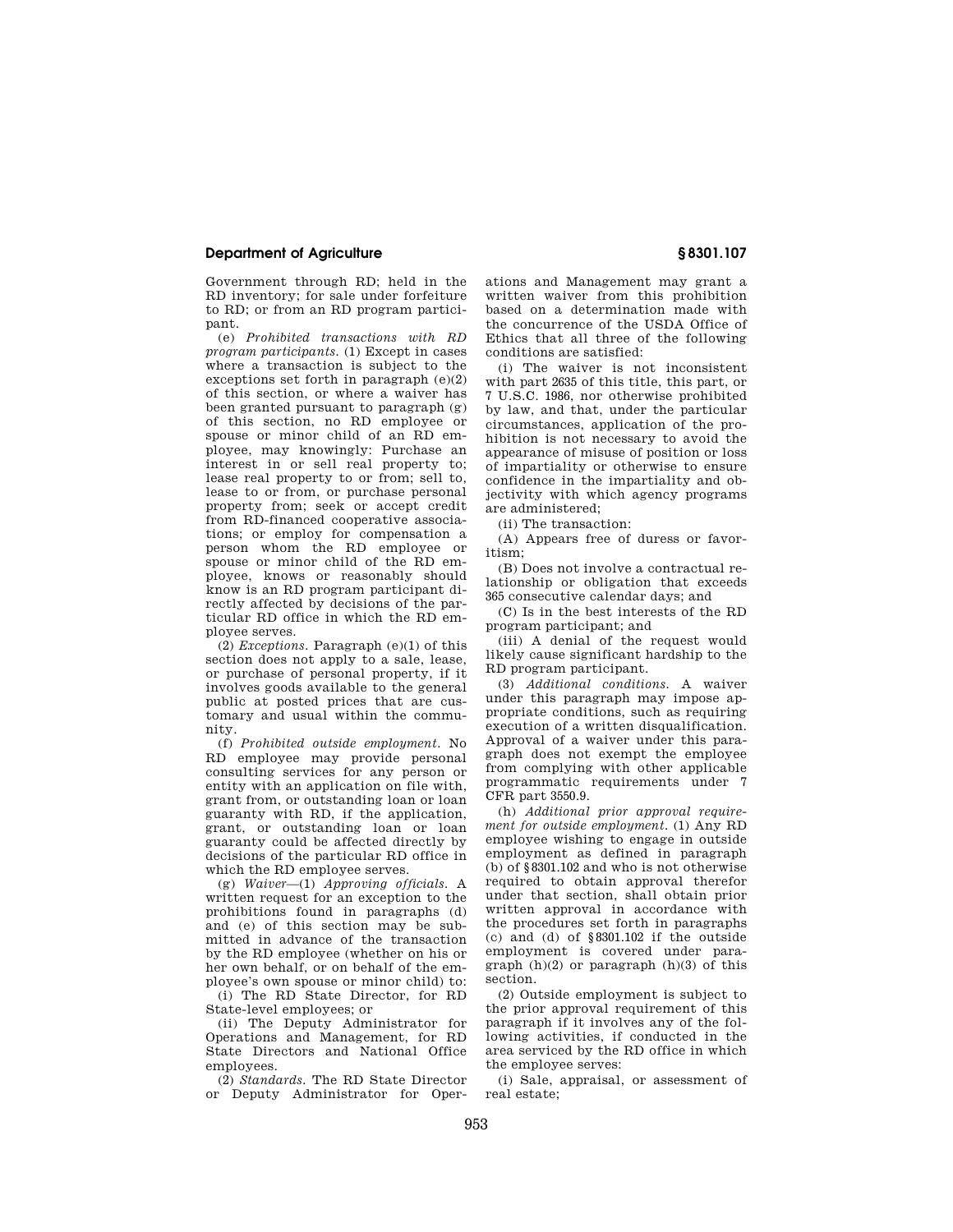## **Department of Agriculture § 8301.107**

Government through RD; held in the RD inventory; for sale under forfeiture to RD; or from an RD program participant.

(e) *Prohibited transactions with RD program participants.* (1) Except in cases where a transaction is subject to the exceptions set forth in paragraph  $(e)(2)$ of this section, or where a waiver has been granted pursuant to paragraph (g) of this section, no RD employee or spouse or minor child of an RD employee, may knowingly: Purchase an interest in or sell real property to; lease real property to or from; sell to, lease to or from, or purchase personal property from; seek or accept credit from RD-financed cooperative associations; or employ for compensation a person whom the RD employee or spouse or minor child of the RD employee, knows or reasonably should know is an RD program participant directly affected by decisions of the particular RD office in which the RD employee serves.

(2) *Exceptions.* Paragraph (e)(1) of this section does not apply to a sale, lease, or purchase of personal property, if it involves goods available to the general public at posted prices that are customary and usual within the community.

(f) *Prohibited outside employment.* No RD employee may provide personal consulting services for any person or entity with an application on file with, grant from, or outstanding loan or loan guaranty with RD, if the application, grant, or outstanding loan or loan guaranty could be affected directly by decisions of the particular RD office in which the RD employee serves.

(g) *Waiver*—(1) *Approving officials.* A written request for an exception to the prohibitions found in paragraphs (d) and (e) of this section may be submitted in advance of the transaction by the RD employee (whether on his or her own behalf, or on behalf of the employee's own spouse or minor child) to:

(i) The RD State Director, for RD State-level employees; or

(ii) The Deputy Administrator for Operations and Management, for RD State Directors and National Office employees.

(2) *Standards.* The RD State Director or Deputy Administrator for Operations and Management may grant a written waiver from this prohibition based on a determination made with the concurrence of the USDA Office of Ethics that all three of the following conditions are satisfied:

(i) The waiver is not inconsistent with part 2635 of this title, this part, or 7 U.S.C. 1986, nor otherwise prohibited by law, and that, under the particular circumstances, application of the prohibition is not necessary to avoid the appearance of misuse of position or loss of impartiality or otherwise to ensure confidence in the impartiality and objectivity with which agency programs are administered;

(ii) The transaction:

(A) Appears free of duress or favoritism;

(B) Does not involve a contractual relationship or obligation that exceeds 365 consecutive calendar days; and

(C) Is in the best interests of the RD program participant; and

(iii) A denial of the request would likely cause significant hardship to the RD program participant.

(3) *Additional conditions.* A waiver under this paragraph may impose appropriate conditions, such as requiring execution of a written disqualification. Approval of a waiver under this paragraph does not exempt the employee from complying with other applicable programmatic requirements under 7 CFR part 3550.9.

(h) *Additional prior approval requirement for outside employment.* (1) Any RD employee wishing to engage in outside employment as defined in paragraph (b) of §8301.102 and who is not otherwise required to obtain approval therefor under that section, shall obtain prior written approval in accordance with the procedures set forth in paragraphs (c) and (d) of §8301.102 if the outside employment is covered under paragraph  $(h)(2)$  or paragraph  $(h)(3)$  of this section.

(2) Outside employment is subject to the prior approval requirement of this paragraph if it involves any of the following activities, if conducted in the area serviced by the RD office in which the employee serves:

(i) Sale, appraisal, or assessment of real estate;